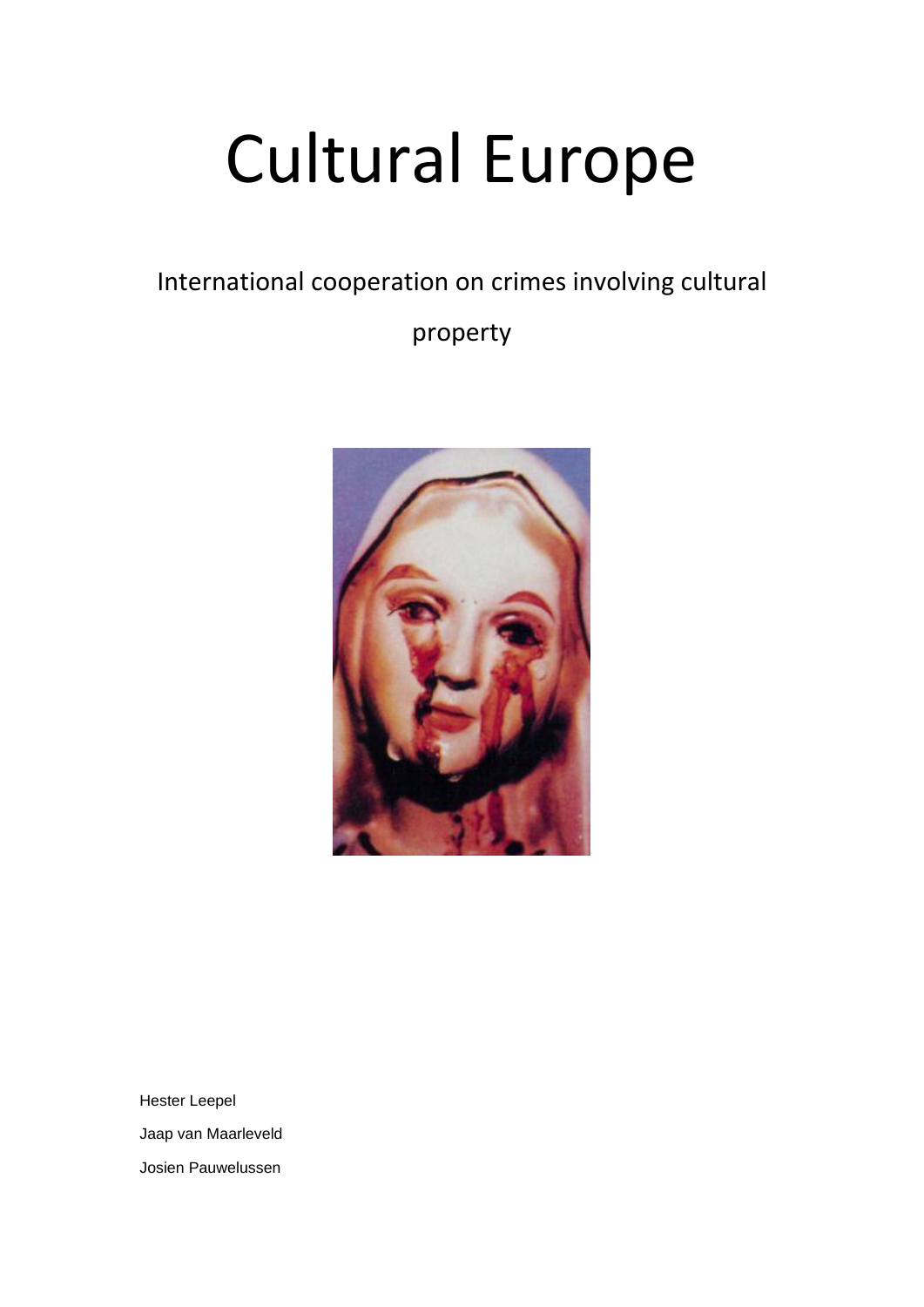# Cultural Europe

International cooperation on crimes involving cultural

property



Hester Leepel Jaap van Maarleveld Josien Pauwelussen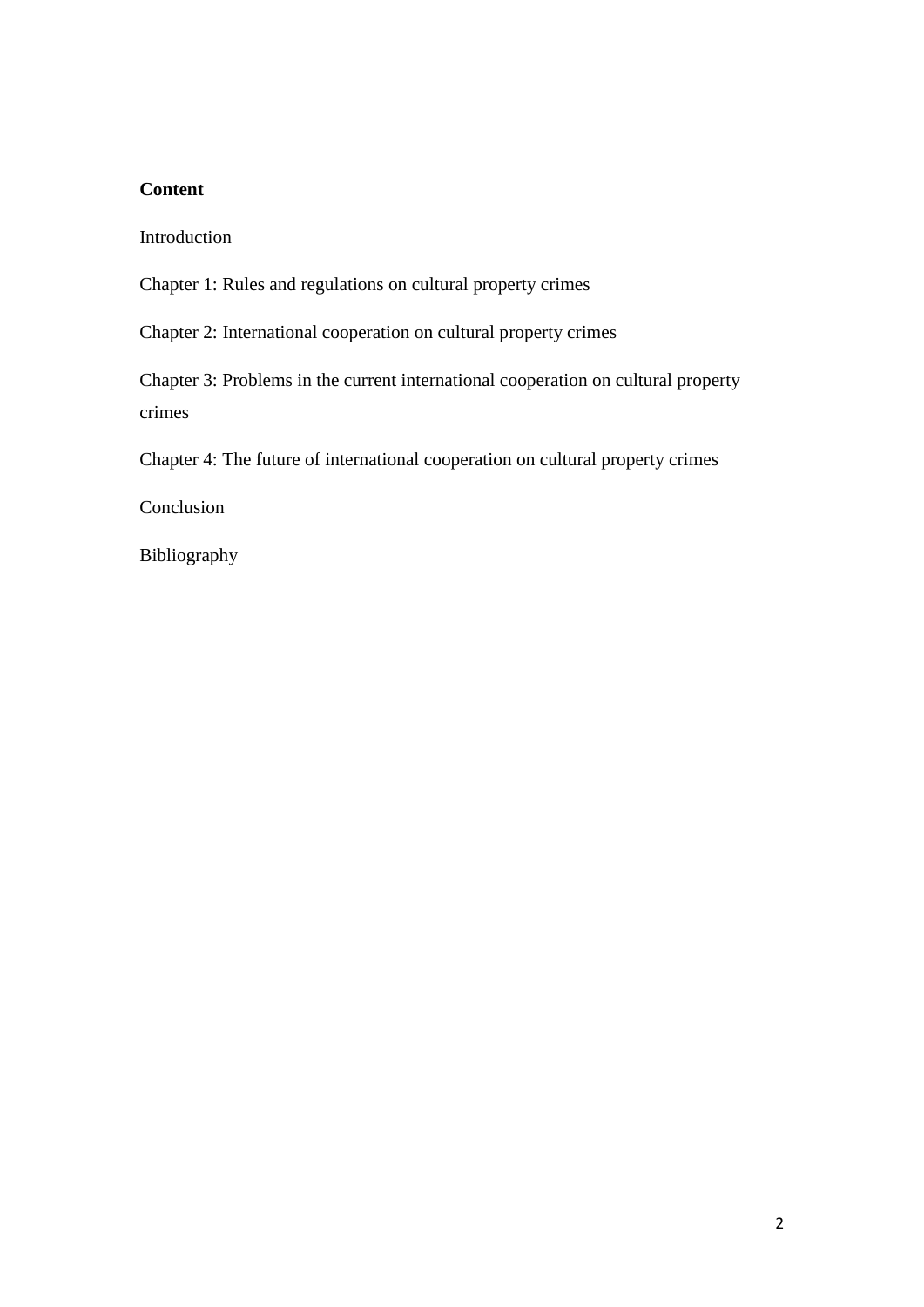# **Content**

Introduction

Chapter 1: Rules and regulations on cultural property crimes

Chapter 2: International cooperation on cultural property crimes

Chapter 3: Problems in the current international cooperation on cultural property crimes

Chapter 4: The future of international cooperation on cultural property crimes

Conclusion

Bibliography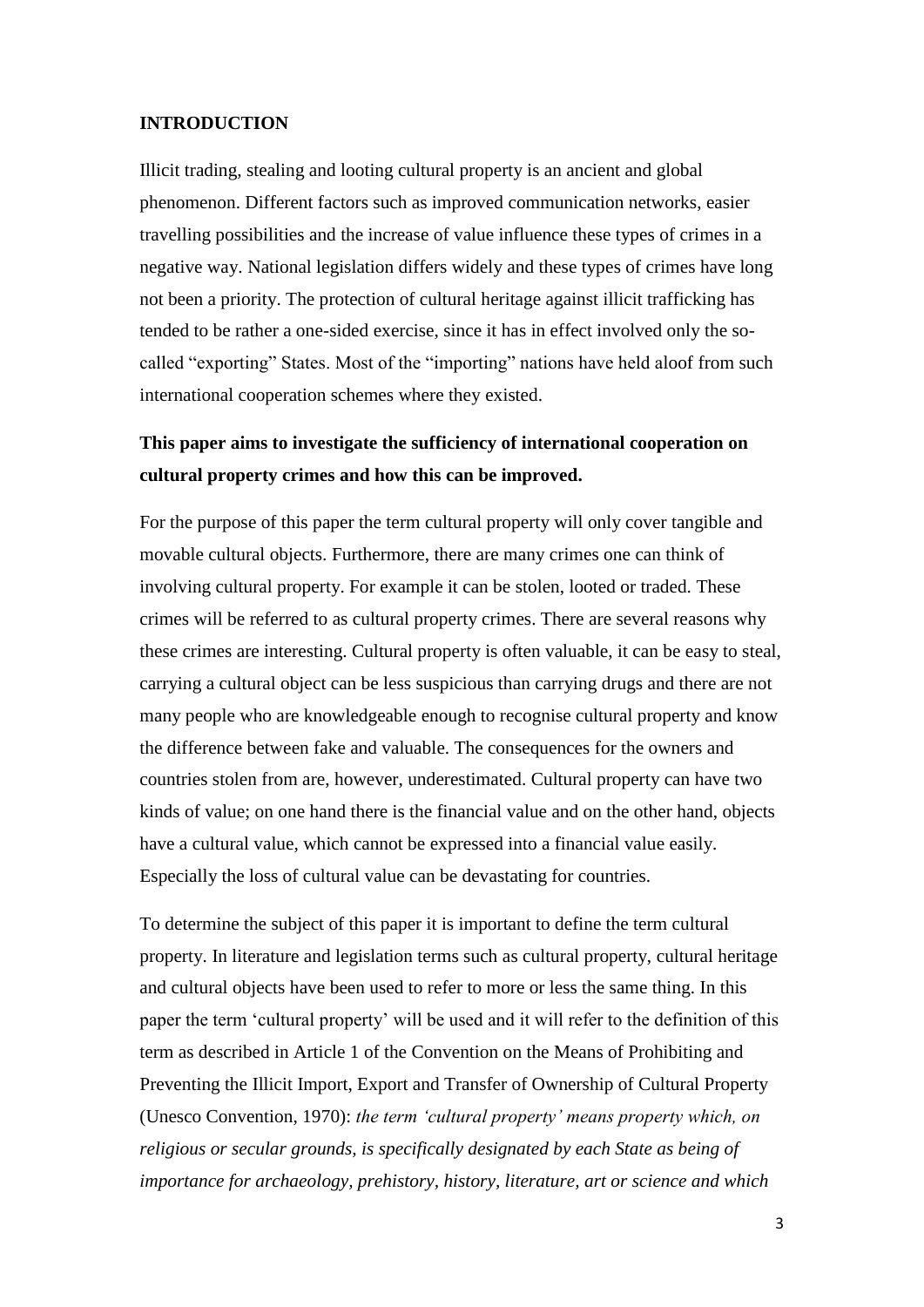# **INTRODUCTION**

Illicit trading, stealing and looting cultural property is an ancient and global phenomenon. Different factors such as improved communication networks, easier travelling possibilities and the increase of value influence these types of crimes in a negative way. National legislation differs widely and these types of crimes have long not been a priority. The protection of cultural heritage against illicit trafficking has tended to be rather a one-sided exercise, since it has in effect involved only the socalled "exporting" States. Most of the "importing" nations have held aloof from such international cooperation schemes where they existed.

# **This paper aims to investigate the sufficiency of international cooperation on cultural property crimes and how this can be improved.**

For the purpose of this paper the term cultural property will only cover tangible and movable cultural objects. Furthermore, there are many crimes one can think of involving cultural property. For example it can be stolen, looted or traded. These crimes will be referred to as cultural property crimes. There are several reasons why these crimes are interesting. Cultural property is often valuable, it can be easy to steal, carrying a cultural object can be less suspicious than carrying drugs and there are not many people who are knowledgeable enough to recognise cultural property and know the difference between fake and valuable. The consequences for the owners and countries stolen from are, however, underestimated. Cultural property can have two kinds of value; on one hand there is the financial value and on the other hand, objects have a cultural value, which cannot be expressed into a financial value easily. Especially the loss of cultural value can be devastating for countries.

To determine the subject of this paper it is important to define the term cultural property. In literature and legislation terms such as cultural property, cultural heritage and cultural objects have been used to refer to more or less the same thing. In this paper the term "cultural property" will be used and it will refer to the definition of this term as described in Article 1 of the Convention on the Means of Prohibiting and Preventing the Illicit Import, Export and Transfer of Ownership of Cultural Property (Unesco Convention, 1970): *the term 'cultural property' means property which, on religious or secular grounds, is specifically designated by each State as being of importance for archaeology, prehistory, history, literature, art or science and which*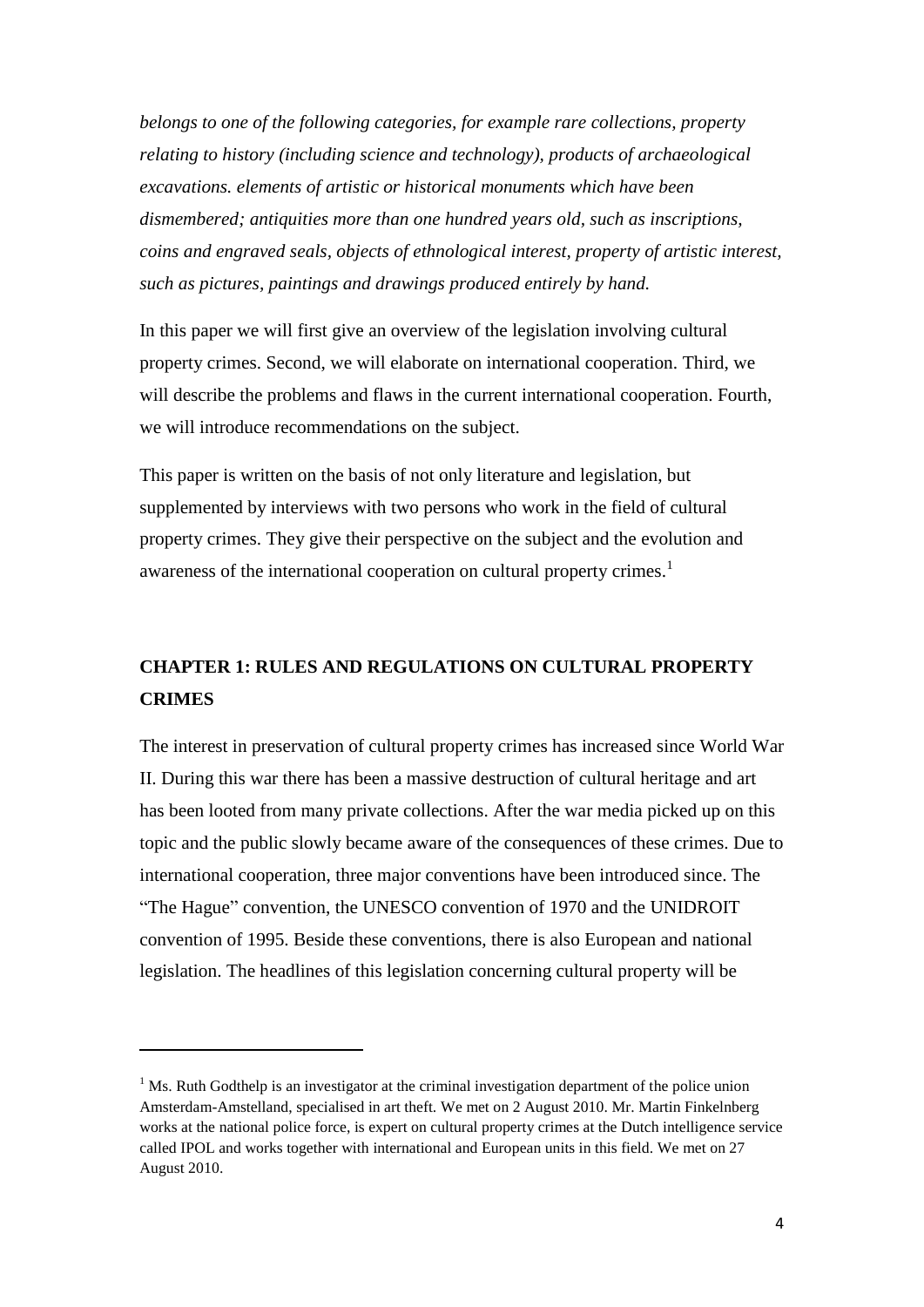*belongs to one of the following categories, for example rare collections, property relating to history (including science and technology), products of archaeological excavations. elements of artistic or historical monuments which have been dismembered; antiquities more than one hundred years old, such as inscriptions, coins and engraved seals, objects of ethnological interest, property of artistic interest, such as pictures, paintings and drawings produced entirely by hand.* 

In this paper we will first give an overview of the legislation involving cultural property crimes. Second, we will elaborate on international cooperation. Third, we will describe the problems and flaws in the current international cooperation. Fourth, we will introduce recommendations on the subject.

This paper is written on the basis of not only literature and legislation, but supplemented by interviews with two persons who work in the field of cultural property crimes. They give their perspective on the subject and the evolution and awareness of the international cooperation on cultural property crimes.<sup>1</sup>

# **CHAPTER 1: RULES AND REGULATIONS ON CULTURAL PROPERTY CRIMES**

The interest in preservation of cultural property crimes has increased since World War II. During this war there has been a massive destruction of cultural heritage and art has been looted from many private collections. After the war media picked up on this topic and the public slowly became aware of the consequences of these crimes. Due to international cooperation, three major conventions have been introduced since. The "The Hague" convention, the UNESCO convention of 1970 and the UNIDROIT convention of 1995. Beside these conventions, there is also European and national legislation. The headlines of this legislation concerning cultural property will be

1

 $<sup>1</sup>$  Ms. Ruth Godthelp is an investigator at the criminal investigation department of the police union</sup> Amsterdam-Amstelland, specialised in art theft. We met on 2 August 2010. Mr. Martin Finkelnberg works at the national police force, is expert on cultural property crimes at the Dutch intelligence service called IPOL and works together with international and European units in this field. We met on 27 August 2010.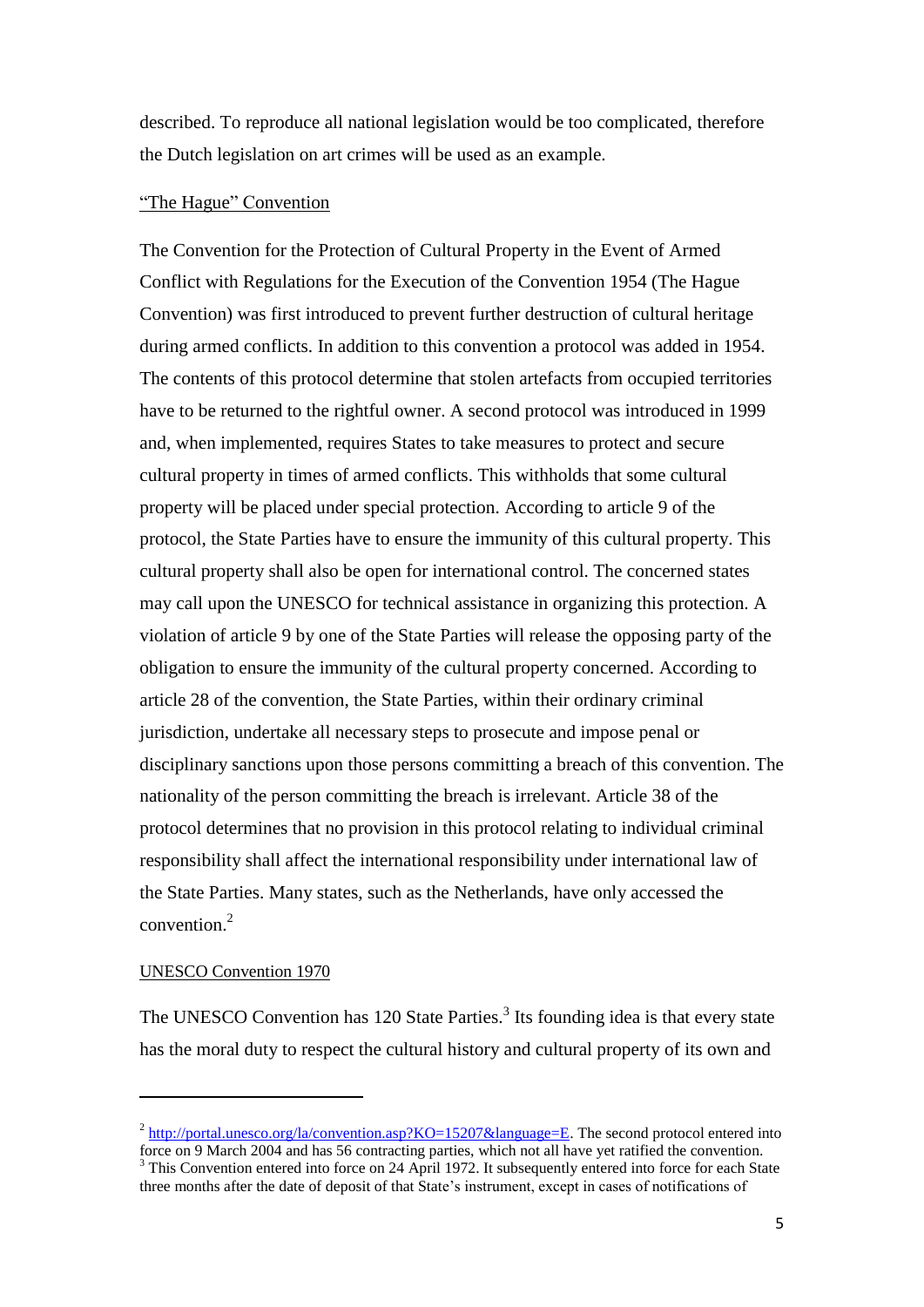described. To reproduce all national legislation would be too complicated, therefore the Dutch legislation on art crimes will be used as an example.

# "The Hague" Convention

The Convention for the Protection of Cultural Property in the Event of Armed Conflict with Regulations for the Execution of the Convention 1954 (The Hague Convention) was first introduced to prevent further destruction of cultural heritage during armed conflicts. In addition to this convention a protocol was added in 1954. The contents of this protocol determine that stolen artefacts from occupied territories have to be returned to the rightful owner. A second protocol was introduced in 1999 and, when implemented, requires States to take measures to protect and secure cultural property in times of armed conflicts. This withholds that some cultural property will be placed under special protection. According to article 9 of the protocol, the State Parties have to ensure the immunity of this cultural property. This cultural property shall also be open for international control. The concerned states may call upon the UNESCO for technical assistance in organizing this protection. A violation of article 9 by one of the State Parties will release the opposing party of the obligation to ensure the immunity of the cultural property concerned. According to article 28 of the convention, the State Parties, within their ordinary criminal jurisdiction, undertake all necessary steps to prosecute and impose penal or disciplinary sanctions upon those persons committing a breach of this convention. The nationality of the person committing the breach is irrelevant. Article 38 of the protocol determines that no provision in this protocol relating to individual criminal responsibility shall affect the international responsibility under international law of the State Parties. Many states, such as the Netherlands, have only accessed the convention. 2

#### UNESCO Convention 1970

**.** 

The UNESCO Convention has 120 State Parties.<sup>3</sup> Its founding idea is that every state has the moral duty to respect the cultural history and cultural property of its own and

 $2 \frac{\text{http://portal.unesco.org/la/convention.asp?KO=15207&language=E.}$  $2 \frac{\text{http://portal.unesco.org/la/convention.asp?KO=15207&language=E.}$  $2 \frac{\text{http://portal.unesco.org/la/convention.asp?KO=15207&language=E.}$  The second protocol entered into force on 9 March 2004 and has 56 contracting parties, which not all have yet ratified the convention. <sup>3</sup> This Convention entered into force on 24 April 1972. It subsequently entered into force for each State three months after the date of deposit of that State"s instrument, except in cases of notifications of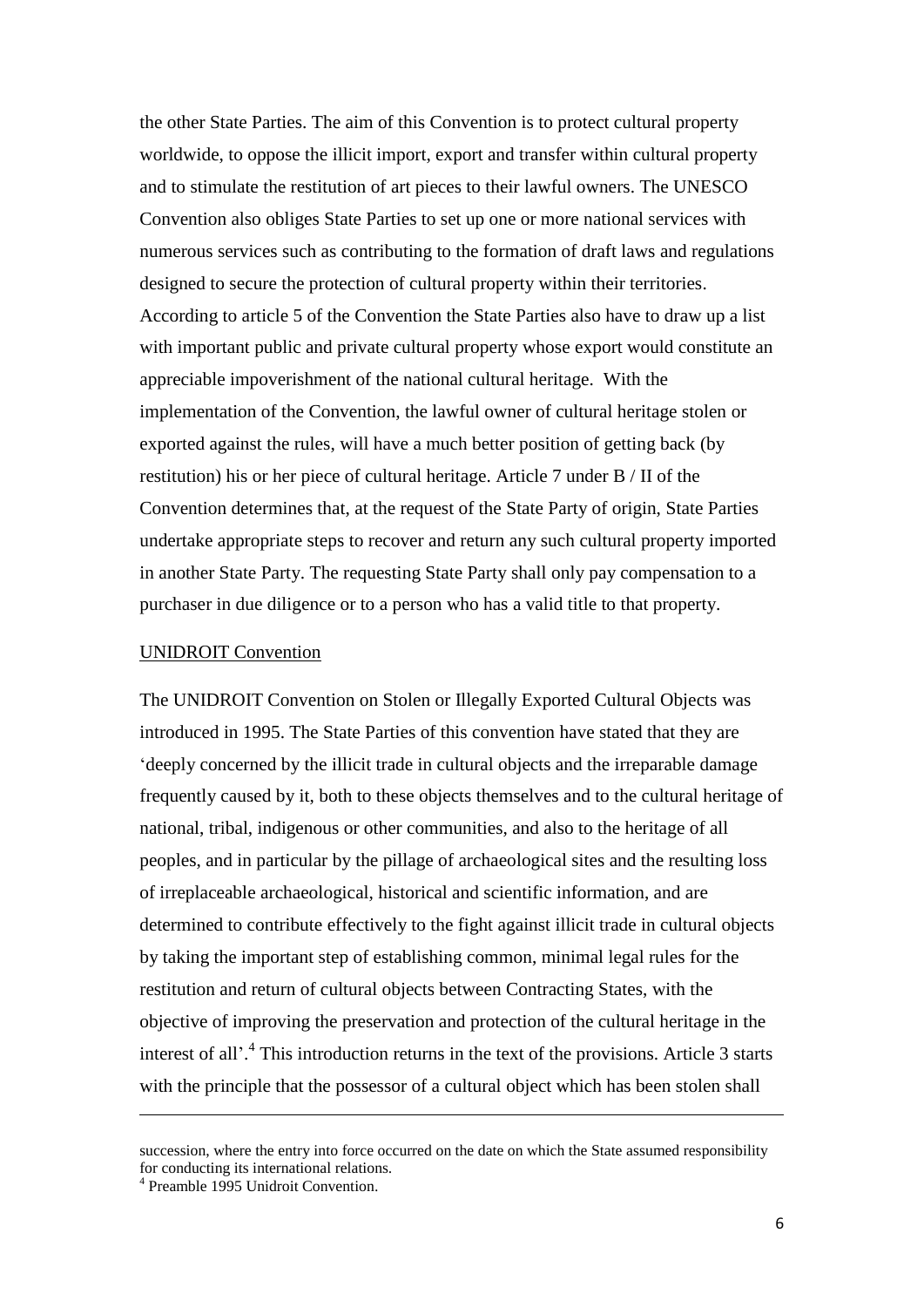the other State Parties. The aim of this Convention is to protect cultural property worldwide, to oppose the illicit import, export and transfer within cultural property and to stimulate the restitution of art pieces to their lawful owners. The UNESCO Convention also obliges State Parties to set up one or more national services with numerous services such as contributing to the formation of draft laws and regulations designed to secure the protection of cultural property within their territories. According to article 5 of the Convention the State Parties also have to draw up a list with important public and private cultural property whose export would constitute an appreciable impoverishment of the national cultural heritage. With the implementation of the Convention, the lawful owner of cultural heritage stolen or exported against the rules, will have a much better position of getting back (by restitution) his or her piece of cultural heritage. Article 7 under B / II of the Convention determines that, at the request of the State Party of origin, State Parties undertake appropriate steps to recover and return any such cultural property imported in another State Party. The requesting State Party shall only pay compensation to a purchaser in due diligence or to a person who has a valid title to that property.

## UNIDROIT Convention

The UNIDROIT Convention on Stolen or Illegally Exported Cultural Objects was introduced in 1995. The State Parties of this convention have stated that they are "deeply concerned by the illicit trade in cultural objects and the irreparable damage frequently caused by it, both to these objects themselves and to the cultural heritage of national, tribal, indigenous or other communities, and also to the heritage of all peoples, and in particular by the pillage of archaeological sites and the resulting loss of irreplaceable archaeological, historical and scientific information, and are determined to contribute effectively to the fight against illicit trade in cultural objects by taking the important step of establishing common, minimal legal rules for the restitution and return of cultural objects between Contracting States, with the objective of improving the preservation and protection of the cultural heritage in the interest of all'.<sup>4</sup> This introduction returns in the text of the provisions. Article 3 starts with the principle that the possessor of a cultural object which has been stolen shall

 $\overline{\phantom{a}}$ 

succession, where the entry into force occurred on the date on which the State assumed responsibility for conducting its international relations.

<sup>4</sup> Preamble 1995 Unidroit Convention.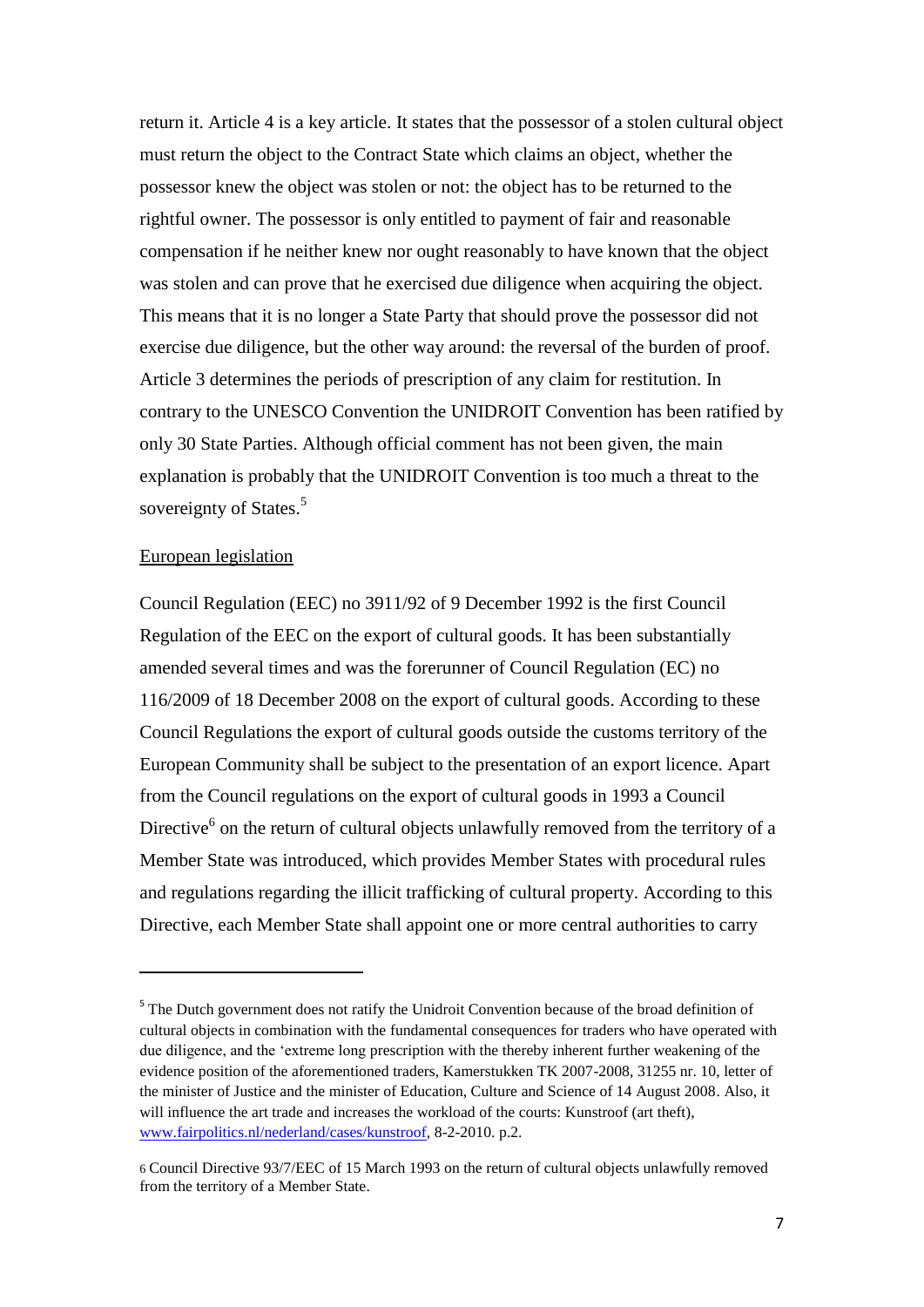return it. Article 4 is a key article. It states that the possessor of a stolen cultural object must return the object to the Contract State which claims an object, whether the possessor knew the object was stolen or not: the object has to be returned to the rightful owner. The possessor is only entitled to payment of fair and reasonable compensation if he neither knew nor ought reasonably to have known that the object was stolen and can prove that he exercised due diligence when acquiring the object. This means that it is no longer a State Party that should prove the possessor did not exercise due diligence, but the other way around: the reversal of the burden of proof. Article 3 determines the periods of prescription of any claim for restitution. In contrary to the UNESCO Convention the UNIDROIT Convention has been ratified by only 30 State Parties. Although official comment has not been given, the main explanation is probably that the UNIDROIT Convention is too much a threat to the sovereignty of States.<sup>5</sup>

## European legislation

**.** 

Council Regulation (EEC) no 3911/92 of 9 December 1992 is the first Council Regulation of the EEC on the export of cultural goods. It has been substantially amended several times and was the forerunner of Council Regulation (EC) no 116/2009 of 18 December 2008 on the export of cultural goods. According to these Council Regulations the export of cultural goods outside the customs territory of the European Community shall be subject to the presentation of an export licence. Apart from the Council regulations on the export of cultural goods in 1993 a Council Directive $<sup>6</sup>$  on the return of cultural objects unlawfully removed from the territory of a</sup> Member State was introduced, which provides Member States with procedural rules and regulations regarding the illicit trafficking of cultural property. According to this Directive, each Member State shall appoint one or more central authorities to carry

<sup>&</sup>lt;sup>5</sup> The Dutch government does not ratify the Unidroit Convention because of the broad definition of cultural objects in combination with the fundamental consequences for traders who have operated with due diligence, and the "extreme long prescription with the thereby inherent further weakening of the evidence position of the aforementioned traders, Kamerstukken TK 2007-2008, 31255 nr. 10, letter of the minister of Justice and the minister of Education, Culture and Science of 14 August 2008. Also, it will influence the art trade and increases the workload of the courts: Kunstroof (art theft), [www.fairpolitics.nl/nederland/cases/kunstroof,](http://www.fairpolitics.nl/nederland/cases/kunstroof) 8-2-2010. p.2.

<sup>6</sup> Council Directive 93/7/EEC of 15 March 1993 on the return of cultural objects unlawfully removed from the territory of a Member State.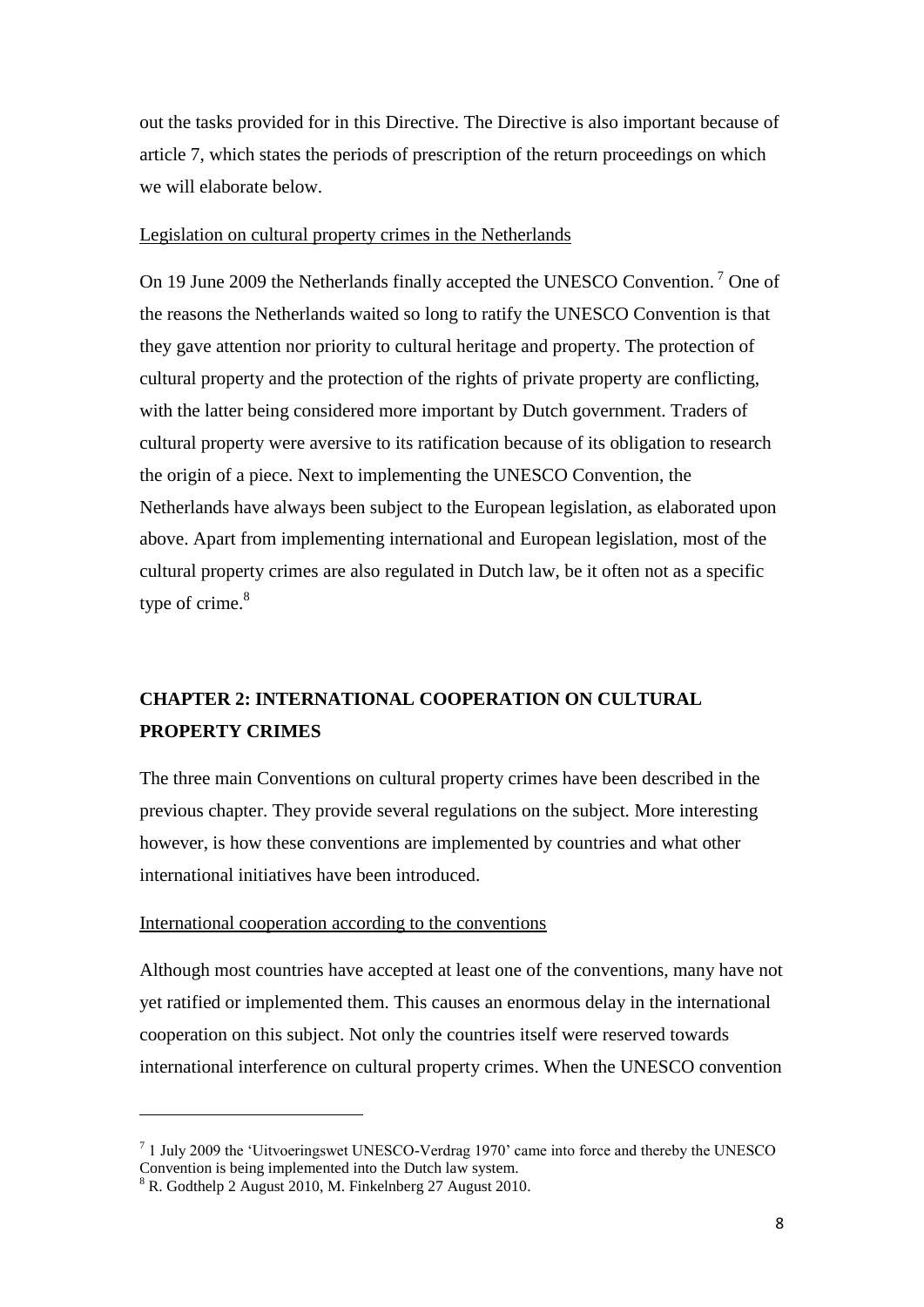out the tasks provided for in this Directive. The Directive is also important because of article 7, which states the periods of prescription of the return proceedings on which we will elaborate below.

# Legislation on cultural property crimes in the Netherlands

On 19 June 2009 the Netherlands finally accepted the UNESCO Convention.<sup>7</sup> One of the reasons the Netherlands waited so long to ratify the UNESCO Convention is that they gave attention nor priority to cultural heritage and property. The protection of cultural property and the protection of the rights of private property are conflicting, with the latter being considered more important by Dutch government. Traders of cultural property were aversive to its ratification because of its obligation to research the origin of a piece. Next to implementing the UNESCO Convention, the Netherlands have always been subject to the European legislation, as elaborated upon above. Apart from implementing international and European legislation, most of the cultural property crimes are also regulated in Dutch law, be it often not as a specific type of crime.<sup>8</sup>

# **CHAPTER 2: INTERNATIONAL COOPERATION ON CULTURAL PROPERTY CRIMES**

The three main Conventions on cultural property crimes have been described in the previous chapter. They provide several regulations on the subject. More interesting however, is how these conventions are implemented by countries and what other international initiatives have been introduced.

# International cooperation according to the conventions

Although most countries have accepted at least one of the conventions, many have not yet ratified or implemented them. This causes an enormous delay in the international cooperation on this subject. Not only the countries itself were reserved towards international interference on cultural property crimes. When the UNESCO convention

 $\overline{\phantom{a}}$ 

<sup>&</sup>lt;sup>7</sup> 1 July 2009 the 'Uitvoeringswet UNESCO-Verdrag 1970' came into force and thereby the UNESCO Convention is being implemented into the Dutch law system.

<sup>8</sup> R. Godthelp 2 August 2010, M. Finkelnberg 27 August 2010.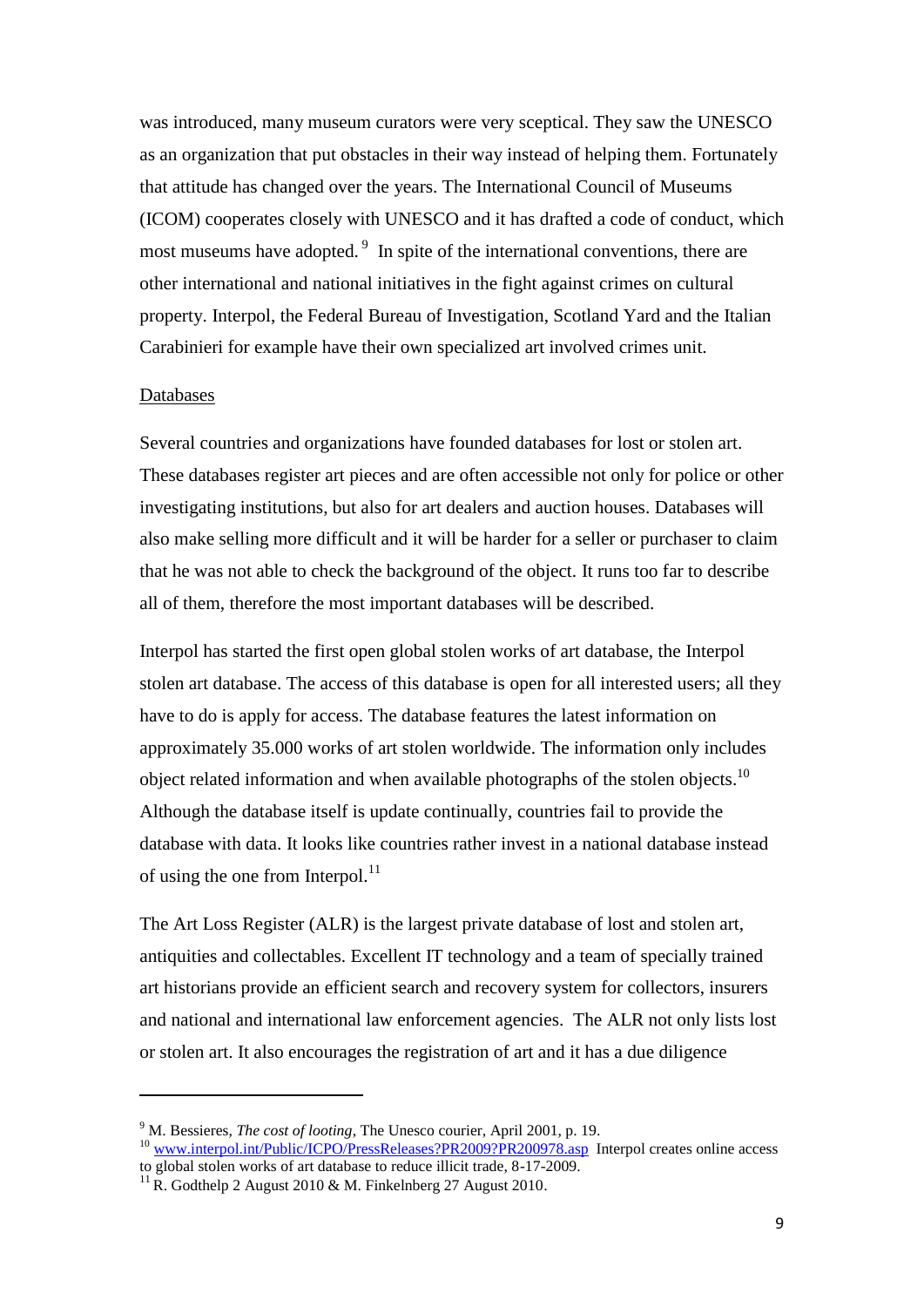was introduced, many museum curators were very sceptical. They saw the UNESCO as an organization that put obstacles in their way instead of helping them. Fortunately that attitude has changed over the years. The International Council of Museums (ICOM) cooperates closely with UNESCO and it has drafted a code of conduct, which most museums have adopted.<sup>9</sup> In spite of the international conventions, there are other international and national initiatives in the fight against crimes on cultural property. Interpol, the Federal Bureau of Investigation, Scotland Yard and the Italian Carabinieri for example have their own specialized art involved crimes unit.

#### Databases

**.** 

Several countries and organizations have founded databases for lost or stolen art. These databases register art pieces and are often accessible not only for police or other investigating institutions, but also for art dealers and auction houses. Databases will also make selling more difficult and it will be harder for a seller or purchaser to claim that he was not able to check the background of the object. It runs too far to describe all of them, therefore the most important databases will be described.

Interpol has started the first open global stolen works of art database, the Interpol stolen art database. The access of this database is open for all interested users; all they have to do is apply for access. The database features the latest information on approximately 35.000 works of art stolen worldwide. The information only includes object related information and when available photographs of the stolen objects.<sup>10</sup> Although the database itself is update continually, countries fail to provide the database with data. It looks like countries rather invest in a national database instead of using the one from Interpol. $^{11}$ 

The Art Loss Register (ALR) is the largest private database of lost and stolen art, antiquities and collectables. Excellent IT technology and a team of specially trained art historians provide an efficient search and recovery system for collectors, insurers and national and international law enforcement agencies. The ALR not only lists lost or stolen art. It also encourages the registration of art and it has a due diligence

<sup>9</sup> M. Bessieres, *The cost of looting*, The Unesco courier, April 2001, p. 19. <sup>10</sup> [www.interpol.int/Public/ICPO/PressReleases?PR2009?PR200978.asp](http://www.interpol.int/Public/ICPO/PressReleases?PR2009?PR200978.asp) Interpol creates online access

to global stolen works of art database to reduce illicit trade, 8-17-2009.

 $^{11}$  R. Godthelp 2 August 2010 & M. Finkelnberg 27 August 2010.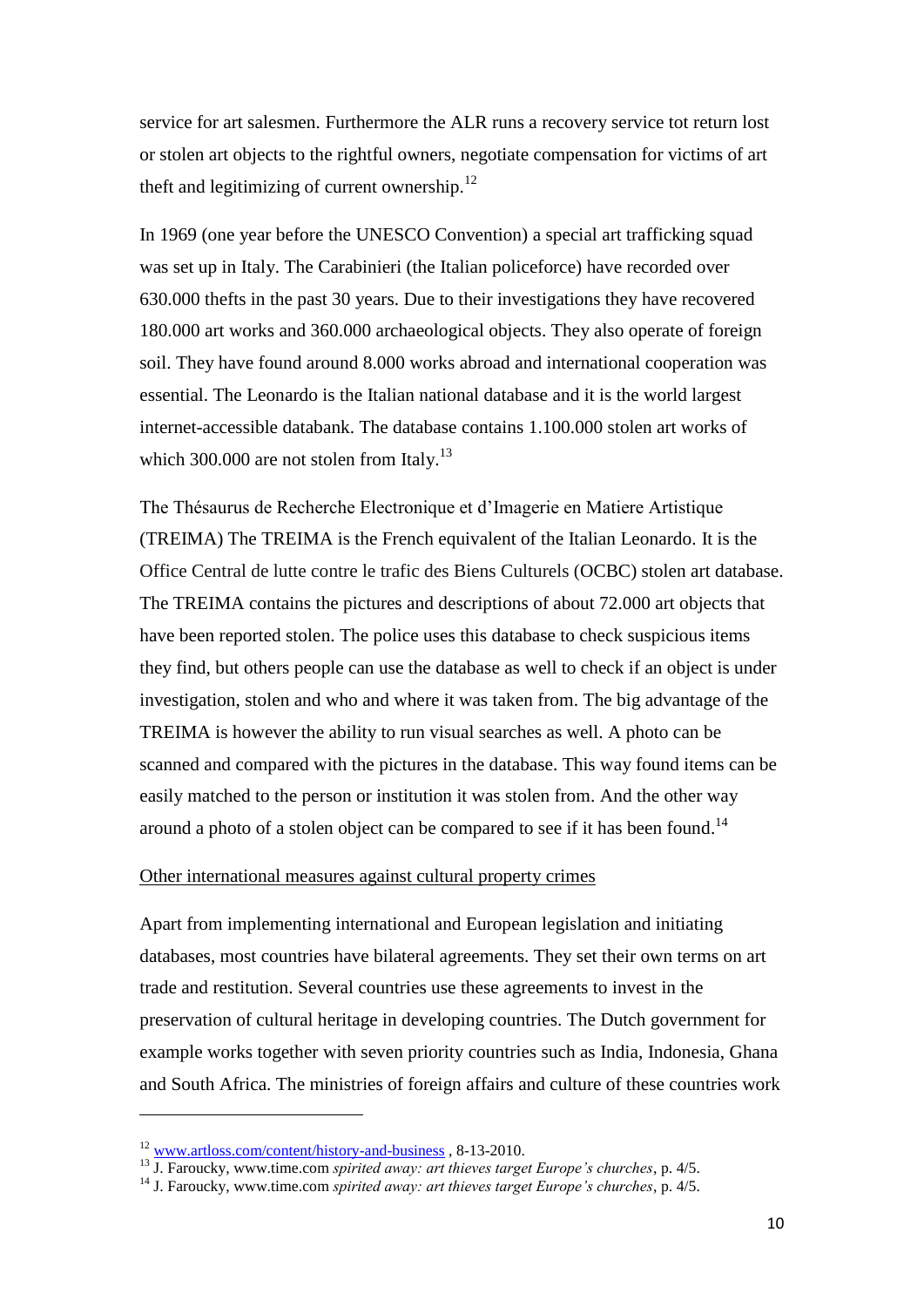service for art salesmen. Furthermore the ALR runs a recovery service tot return lost or stolen art objects to the rightful owners, negotiate compensation for victims of art theft and legitimizing of current ownership. $^{12}$ 

In 1969 (one year before the UNESCO Convention) a special art trafficking squad was set up in Italy. The Carabinieri (the Italian policeforce) have recorded over 630.000 thefts in the past 30 years. Due to their investigations they have recovered 180.000 art works and 360.000 archaeological objects. They also operate of foreign soil. They have found around 8.000 works abroad and international cooperation was essential. The Leonardo is the Italian national database and it is the world largest internet-accessible databank. The database contains 1.100.000 stolen art works of which 300.000 are not stolen from Italy.<sup>13</sup>

The Thésaurus de Recherche Electronique et d"Imagerie en Matiere Artistique (TREIMA) The TREIMA is the French equivalent of the Italian Leonardo. It is the Office Central de lutte contre le trafic des Biens Culturels (OCBC) stolen art database. The TREIMA contains the pictures and descriptions of about 72.000 art objects that have been reported stolen. The police uses this database to check suspicious items they find, but others people can use the database as well to check if an object is under investigation, stolen and who and where it was taken from. The big advantage of the TREIMA is however the ability to run visual searches as well. A photo can be scanned and compared with the pictures in the database. This way found items can be easily matched to the person or institution it was stolen from. And the other way around a photo of a stolen object can be compared to see if it has been found.<sup>14</sup>

# Other international measures against cultural property crimes

Apart from implementing international and European legislation and initiating databases, most countries have bilateral agreements. They set their own terms on art trade and restitution. Several countries use these agreements to invest in the preservation of cultural heritage in developing countries. The Dutch government for example works together with seven priority countries such as India, Indonesia, Ghana and South Africa. The ministries of foreign affairs and culture of these countries work

 $\overline{\phantom{a}}$ 

<sup>12</sup> [www.artloss.com/content/history-and-business](http://www.artloss.com/content/history-and-business) , 8-13-2010.

<sup>13</sup> J. Faroucky, www.time.com *spirited away: art thieves target Europe's churches*, p. 4/5.

<sup>14</sup> J. Faroucky, www.time.com *spirited away: art thieves target Europe's churches*, p. 4/5.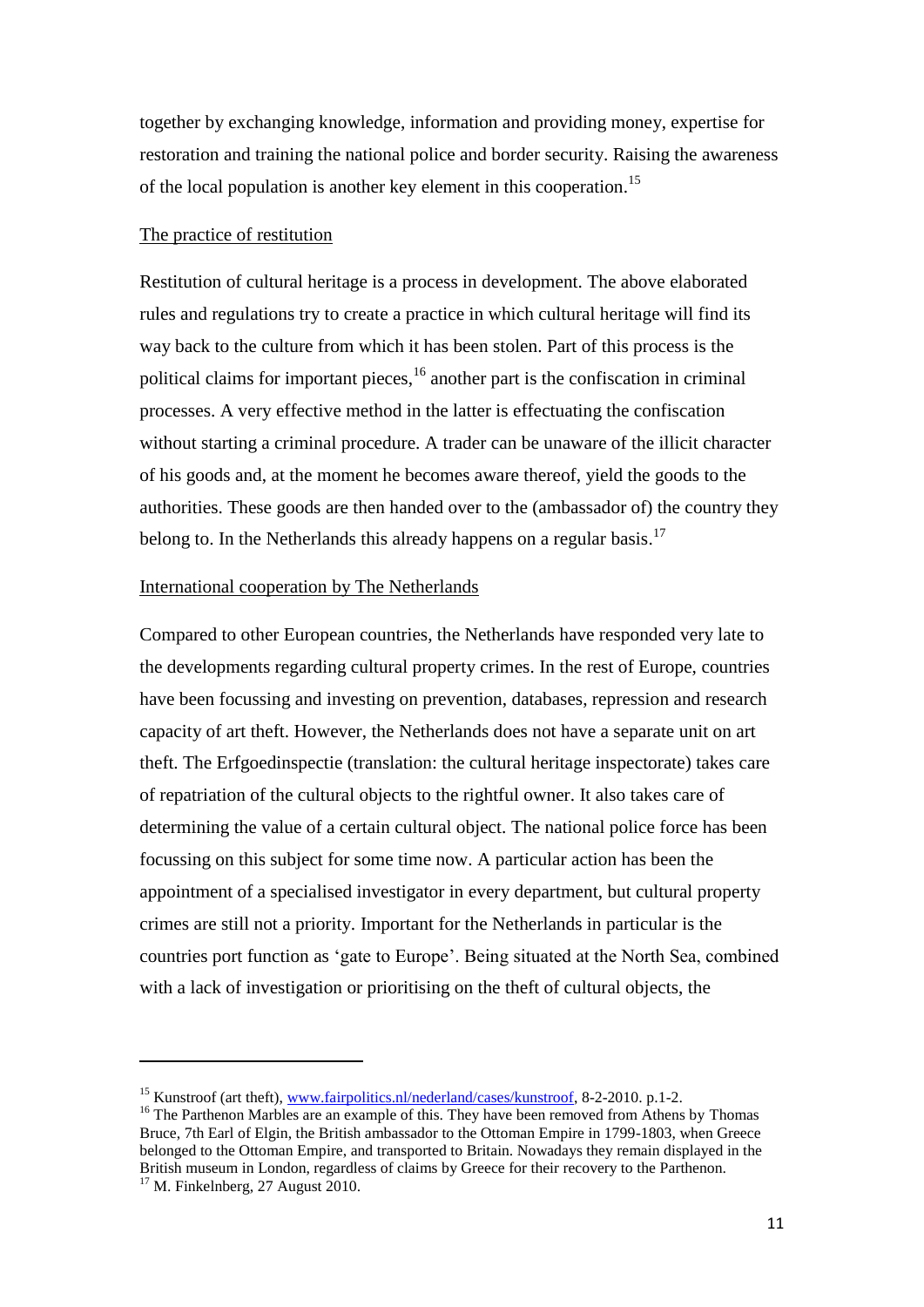together by exchanging knowledge, information and providing money, expertise for restoration and training the national police and border security. Raising the awareness of the local population is another key element in this cooperation.<sup>15</sup>

## The practice of restitution

**.** 

Restitution of cultural heritage is a process in development. The above elaborated rules and regulations try to create a practice in which cultural heritage will find its way back to the culture from which it has been stolen. Part of this process is the political claims for important pieces, <sup>16</sup> another part is the confiscation in criminal processes. A very effective method in the latter is effectuating the confiscation without starting a criminal procedure. A trader can be unaware of the illicit character of his goods and, at the moment he becomes aware thereof, yield the goods to the authorities. These goods are then handed over to the (ambassador of) the country they belong to. In the Netherlands this already happens on a regular basis.<sup>17</sup>

# International cooperation by The Netherlands

Compared to other European countries, the Netherlands have responded very late to the developments regarding cultural property crimes. In the rest of Europe, countries have been focussing and investing on prevention, databases, repression and research capacity of art theft. However, the Netherlands does not have a separate unit on art theft. The Erfgoedinspectie (translation: the cultural heritage inspectorate) takes care of repatriation of the cultural objects to the rightful owner. It also takes care of determining the value of a certain cultural object. The national police force has been focussing on this subject for some time now. A particular action has been the appointment of a specialised investigator in every department, but cultural property crimes are still not a priority. Important for the Netherlands in particular is the countries port function as "gate to Europe". Being situated at the North Sea, combined with a lack of investigation or prioritising on the theft of cultural objects, the

<sup>&</sup>lt;sup>15</sup> Kunstroof (art theft), [www.fairpolitics.nl/nederland/cases/kunstroof,](http://www.fairpolitics.nl/nederland/cases/kunstroof) 8-2-2010. p.1-2.

<sup>&</sup>lt;sup>16</sup> The Parthenon Marbles are an example of this. They have been removed from Athens by Thomas Bruce, 7th Earl of Elgin, the British ambassador to the Ottoman Empire in 1799-1803, when Greece belonged to the Ottoman Empire, and transported to Britain. Nowadays they remain displayed in the British museum in London, regardless of claims by Greece for their recovery to the Parthenon.  $17$  M. Finkelnberg, 27 August 2010.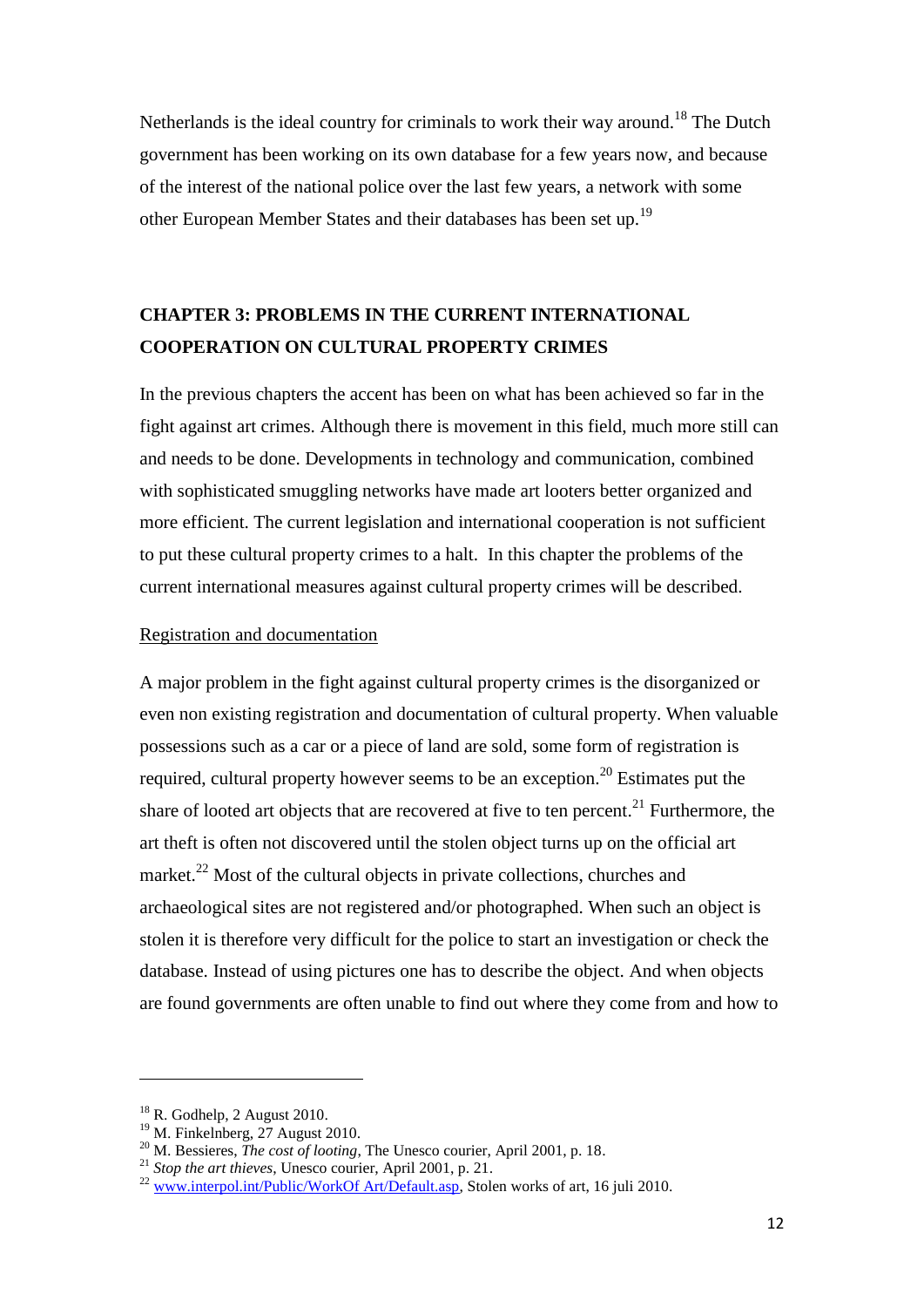Netherlands is the ideal country for criminals to work their way around.<sup>18</sup> The Dutch government has been working on its own database for a few years now, and because of the interest of the national police over the last few years, a network with some other European Member States and their databases has been set up.<sup>19</sup>

# **CHAPTER 3: PROBLEMS IN THE CURRENT INTERNATIONAL COOPERATION ON CULTURAL PROPERTY CRIMES**

In the previous chapters the accent has been on what has been achieved so far in the fight against art crimes. Although there is movement in this field, much more still can and needs to be done. Developments in technology and communication, combined with sophisticated smuggling networks have made art looters better organized and more efficient. The current legislation and international cooperation is not sufficient to put these cultural property crimes to a halt. In this chapter the problems of the current international measures against cultural property crimes will be described.

# Registration and documentation

A major problem in the fight against cultural property crimes is the disorganized or even non existing registration and documentation of cultural property. When valuable possessions such as a car or a piece of land are sold, some form of registration is required, cultural property however seems to be an exception.<sup>20</sup> Estimates put the share of looted art objects that are recovered at five to ten percent.<sup>21</sup> Furthermore, the art theft is often not discovered until the stolen object turns up on the official art market.<sup>22</sup> Most of the cultural objects in private collections, churches and archaeological sites are not registered and/or photographed. When such an object is stolen it is therefore very difficult for the police to start an investigation or check the database. Instead of using pictures one has to describe the object. And when objects are found governments are often unable to find out where they come from and how to

1

 $18$  R. Godhelp, 2 August 2010.

 $19$  M. Finkelnberg, 27 August 2010.

<sup>&</sup>lt;sup>20</sup> M. Bessieres, *The cost of looting*, The Unesco courier, April 2001, p. 18.

<sup>21</sup> *Stop the art thieves*, Unesco courier, April 2001, p. 21.

<sup>&</sup>lt;sup>22</sup> www.interpol.int/Public/WorkOf Art/De<u>fault.asp</u>, Stolen works of art, 16 juli 2010.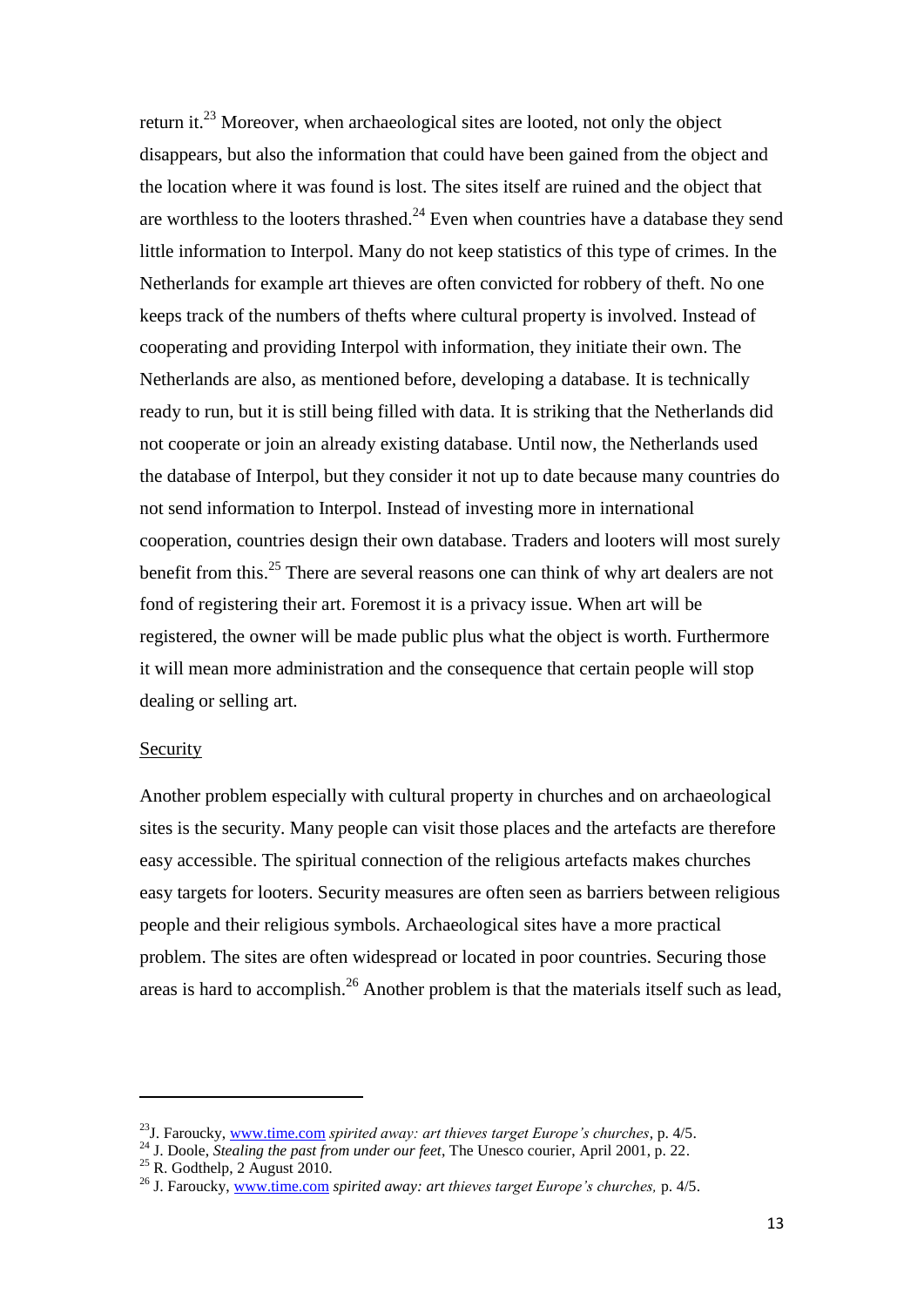return it.<sup>23</sup> Moreover, when archaeological sites are looted, not only the object disappears, but also the information that could have been gained from the object and the location where it was found is lost. The sites itself are ruined and the object that are worthless to the looters thrashed. $24$  Even when countries have a database they send little information to Interpol. Many do not keep statistics of this type of crimes. In the Netherlands for example art thieves are often convicted for robbery of theft. No one keeps track of the numbers of thefts where cultural property is involved. Instead of cooperating and providing Interpol with information, they initiate their own. The Netherlands are also, as mentioned before, developing a database. It is technically ready to run, but it is still being filled with data. It is striking that the Netherlands did not cooperate or join an already existing database. Until now, the Netherlands used the database of Interpol, but they consider it not up to date because many countries do not send information to Interpol. Instead of investing more in international cooperation, countries design their own database. Traders and looters will most surely benefit from this.<sup>25</sup> There are several reasons one can think of why art dealers are not fond of registering their art. Foremost it is a privacy issue. When art will be registered, the owner will be made public plus what the object is worth. Furthermore it will mean more administration and the consequence that certain people will stop dealing or selling art.

#### Security

**.** 

Another problem especially with cultural property in churches and on archaeological sites is the security. Many people can visit those places and the artefacts are therefore easy accessible. The spiritual connection of the religious artefacts makes churches easy targets for looters. Security measures are often seen as barriers between religious people and their religious symbols. Archaeological sites have a more practical problem. The sites are often widespread or located in poor countries. Securing those areas is hard to accomplish.<sup>26</sup> Another problem is that the materials itself such as lead,

<sup>23</sup>J. Faroucky, [www.time.com](http://www.time.com/) *spirited away: art thieves target Europe's churches*, p. 4/5.

<sup>24</sup> J. Doole, *Stealing the past from under our feet*, The Unesco courier, April 2001, p. 22.

 $25$  R. Godthelp, 2 August 2010.

<sup>26</sup> J. Faroucky[, www.time.com](http://www.time.com/) *spirited away: art thieves target Europe's churches,* p. 4/5.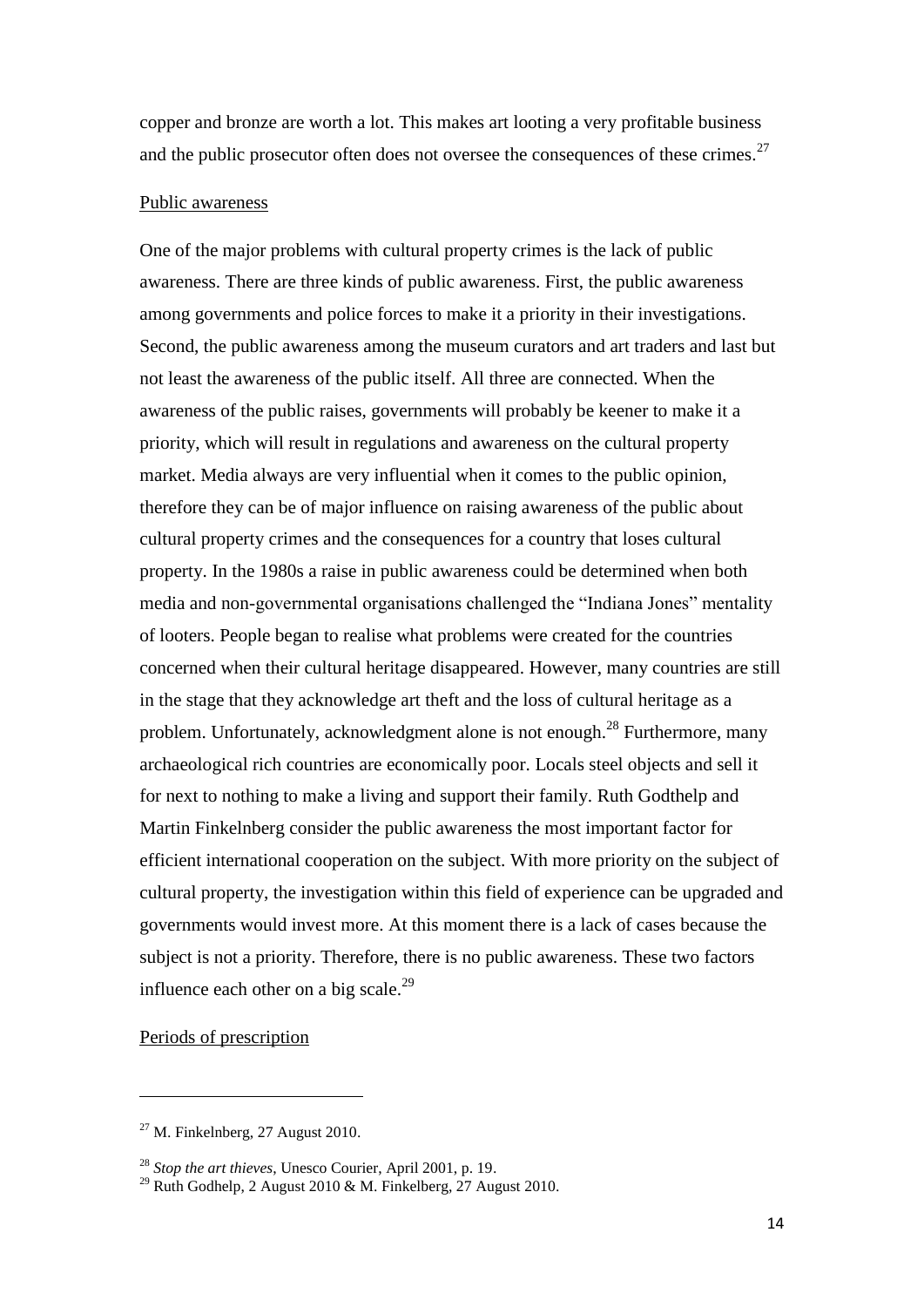copper and bronze are worth a lot. This makes art looting a very profitable business and the public prosecutor often does not oversee the consequences of these crimes.<sup>27</sup>

# Public awareness

One of the major problems with cultural property crimes is the lack of public awareness. There are three kinds of public awareness. First, the public awareness among governments and police forces to make it a priority in their investigations. Second, the public awareness among the museum curators and art traders and last but not least the awareness of the public itself. All three are connected. When the awareness of the public raises, governments will probably be keener to make it a priority, which will result in regulations and awareness on the cultural property market. Media always are very influential when it comes to the public opinion, therefore they can be of major influence on raising awareness of the public about cultural property crimes and the consequences for a country that loses cultural property. In the 1980s a raise in public awareness could be determined when both media and non-governmental organisations challenged the "Indiana Jones" mentality of looters. People began to realise what problems were created for the countries concerned when their cultural heritage disappeared. However, many countries are still in the stage that they acknowledge art theft and the loss of cultural heritage as a problem. Unfortunately, acknowledgment alone is not enough.<sup>28</sup> Furthermore, many archaeological rich countries are economically poor. Locals steel objects and sell it for next to nothing to make a living and support their family. Ruth Godthelp and Martin Finkelnberg consider the public awareness the most important factor for efficient international cooperation on the subject. With more priority on the subject of cultural property, the investigation within this field of experience can be upgraded and governments would invest more. At this moment there is a lack of cases because the subject is not a priority. Therefore, there is no public awareness. These two factors influence each other on a big scale.<sup>29</sup>

# Periods of prescription

 $\overline{a}$ 

 $27$  M. Finkelnberg, 27 August 2010.

<sup>28</sup> *Stop the art thieves*, Unesco Courier, April 2001, p. 19.

<sup>&</sup>lt;sup>29</sup> Ruth Godhelp, 2 August 2010 & M. Finkelberg,  $27$  August 2010.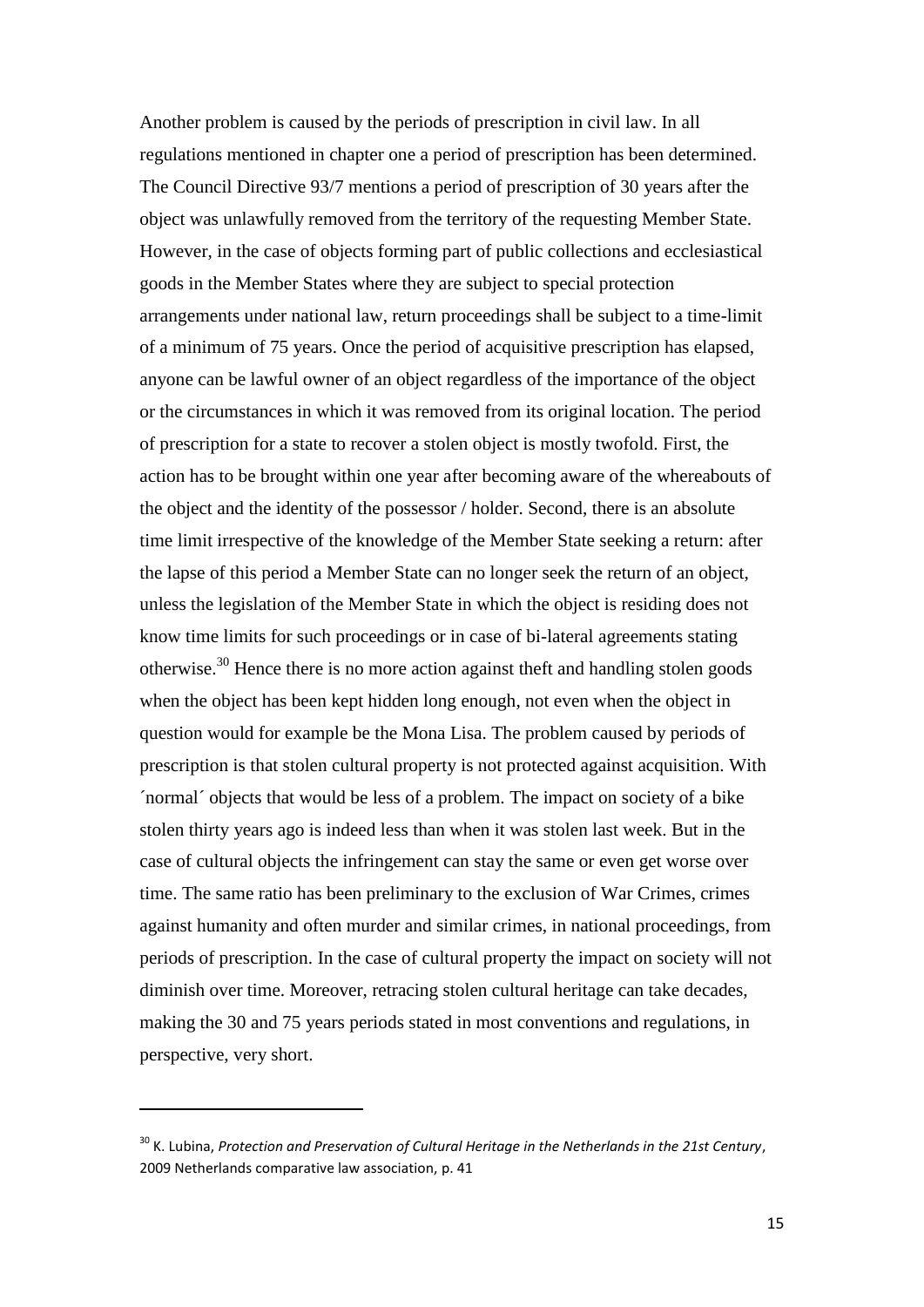Another problem is caused by the periods of prescription in civil law. In all regulations mentioned in chapter one a period of prescription has been determined. The Council Directive 93/7 mentions a period of prescription of 30 years after the object was unlawfully removed from the territory of the requesting Member State. However, in the case of objects forming part of public collections and ecclesiastical goods in the Member States where they are subject to special protection arrangements under national law, return proceedings shall be subject to a time-limit of a minimum of 75 years. Once the period of acquisitive prescription has elapsed, anyone can be lawful owner of an object regardless of the importance of the object or the circumstances in which it was removed from its original location. The period of prescription for a state to recover a stolen object is mostly twofold. First, the action has to be brought within one year after becoming aware of the whereabouts of the object and the identity of the possessor / holder. Second, there is an absolute time limit irrespective of the knowledge of the Member State seeking a return: after the lapse of this period a Member State can no longer seek the return of an object, unless the legislation of the Member State in which the object is residing does not know time limits for such proceedings or in case of bi-lateral agreements stating otherwise.<sup>30</sup> Hence there is no more action against theft and handling stolen goods when the object has been kept hidden long enough, not even when the object in question would for example be the Mona Lisa. The problem caused by periods of prescription is that stolen cultural property is not protected against acquisition. With ´normal´ objects that would be less of a problem. The impact on society of a bike stolen thirty years ago is indeed less than when it was stolen last week. But in the case of cultural objects the infringement can stay the same or even get worse over time. The same ratio has been preliminary to the exclusion of War Crimes, crimes against humanity and often murder and similar crimes, in national proceedings, from periods of prescription. In the case of cultural property the impact on society will not diminish over time. Moreover, retracing stolen cultural heritage can take decades, making the 30 and 75 years periods stated in most conventions and regulations, in perspective, very short.

1

<sup>30</sup> K. Lubina, *Protection and Preservation of Cultural Heritage in the Netherlands in the 21st Century*, 2009 Netherlands comparative law association, p. 41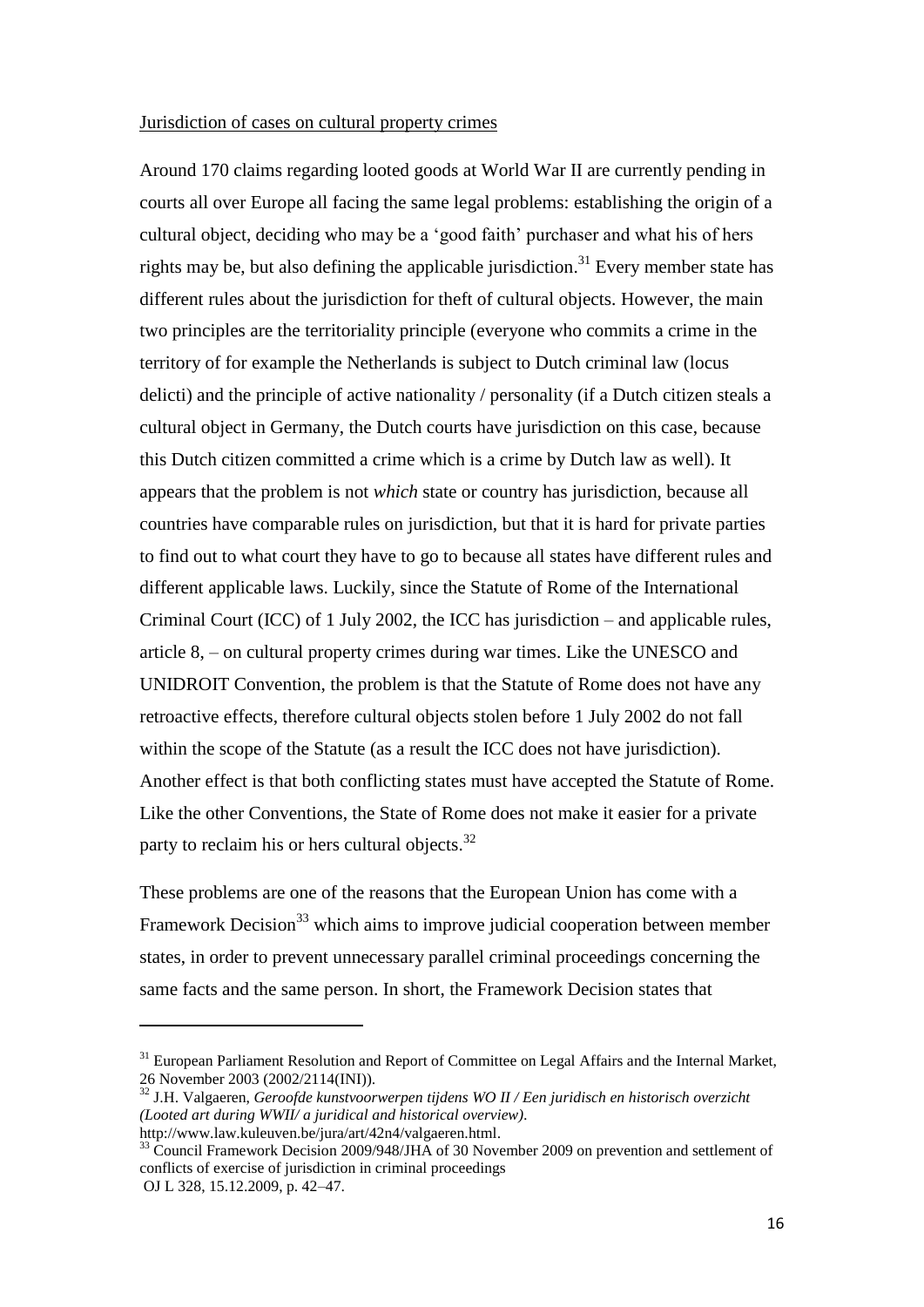## Jurisdiction of cases on cultural property crimes

Around 170 claims regarding looted goods at World War II are currently pending in courts all over Europe all facing the same legal problems: establishing the origin of a cultural object, deciding who may be a "good faith" purchaser and what his of hers rights may be, but also defining the applicable jurisdiction.<sup>31</sup> Every member state has different rules about the jurisdiction for theft of cultural objects. However, the main two principles are the territoriality principle (everyone who commits a crime in the territory of for example the Netherlands is subject to Dutch criminal law (locus delicti) and the principle of active nationality / personality (if a Dutch citizen steals a cultural object in Germany, the Dutch courts have jurisdiction on this case, because this Dutch citizen committed a crime which is a crime by Dutch law as well). It appears that the problem is not *which* state or country has jurisdiction, because all countries have comparable rules on jurisdiction, but that it is hard for private parties to find out to what court they have to go to because all states have different rules and different applicable laws. Luckily, since the Statute of Rome of the International Criminal Court (ICC) of 1 July 2002, the ICC has jurisdiction – and applicable rules, article 8, – on cultural property crimes during war times. Like the UNESCO and UNIDROIT Convention, the problem is that the Statute of Rome does not have any retroactive effects, therefore cultural objects stolen before 1 July 2002 do not fall within the scope of the Statute (as a result the ICC does not have jurisdiction). Another effect is that both conflicting states must have accepted the Statute of Rome. Like the other Conventions, the State of Rome does not make it easier for a private party to reclaim his or hers cultural objects.<sup>32</sup>

These problems are one of the reasons that the European Union has come with a Framework Decision<sup>33</sup> which aims to improve judicial cooperation between member states, in order to prevent unnecessary parallel criminal proceedings concerning the same facts and the same person. In short, the Framework Decision states that

1

<sup>&</sup>lt;sup>31</sup> European Parliament Resolution and Report of Committee on Legal Affairs and the Internal Market, 26 November 2003 (2002/2114(INI)).

<sup>32</sup> J.H. Valgaeren, *Geroofde kunstvoorwerpen tijdens WO II / Een juridisch en historisch overzicht (Looted art during WWII/ a juridical and historical overview).* [http://www.law.kuleuven.be/jura/art/42n4/valgaeren.html.](http://www.law.kuleuven.be/jura/art/42n4/valgaeren.html)

<sup>&</sup>lt;sup>33</sup> Council Framework Decision 2009/948/JHA of 30 November 2009 on prevention and settlement of conflicts of exercise of jurisdiction in criminal proceedings OJ L 328, 15.12.2009, p. 42–47.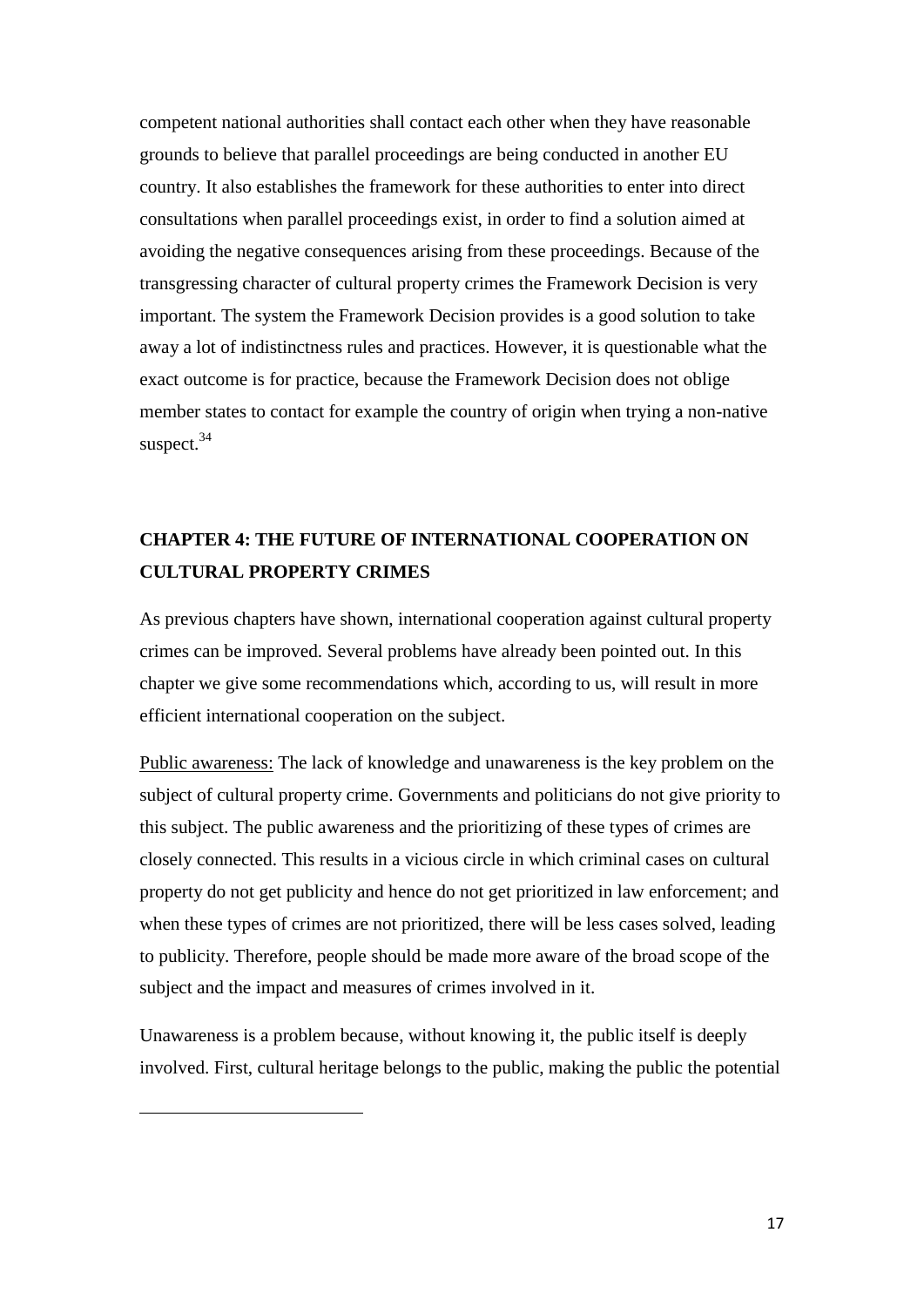competent national authorities shall contact each other when they have reasonable grounds to believe that parallel proceedings are being conducted in another EU country. It also establishes the framework for these authorities to enter into direct consultations when parallel proceedings exist, in order to find a solution aimed at avoiding the negative consequences arising from these proceedings. Because of the transgressing character of cultural property crimes the Framework Decision is very important. The system the Framework Decision provides is a good solution to take away a lot of indistinctness rules and practices. However, it is questionable what the exact outcome is for practice, because the Framework Decision does not oblige member states to contact for example the country of origin when trying a non-native suspect. 34

# **CHAPTER 4: THE FUTURE OF INTERNATIONAL COOPERATION ON CULTURAL PROPERTY CRIMES**

As previous chapters have shown, international cooperation against cultural property crimes can be improved. Several problems have already been pointed out. In this chapter we give some recommendations which, according to us, will result in more efficient international cooperation on the subject.

Public awareness: The lack of knowledge and unawareness is the key problem on the subject of cultural property crime. Governments and politicians do not give priority to this subject. The public awareness and the prioritizing of these types of crimes are closely connected. This results in a vicious circle in which criminal cases on cultural property do not get publicity and hence do not get prioritized in law enforcement; and when these types of crimes are not prioritized, there will be less cases solved, leading to publicity. Therefore, people should be made more aware of the broad scope of the subject and the impact and measures of crimes involved in it.

Unawareness is a problem because, without knowing it, the public itself is deeply involved. First, cultural heritage belongs to the public, making the public the potential

**.**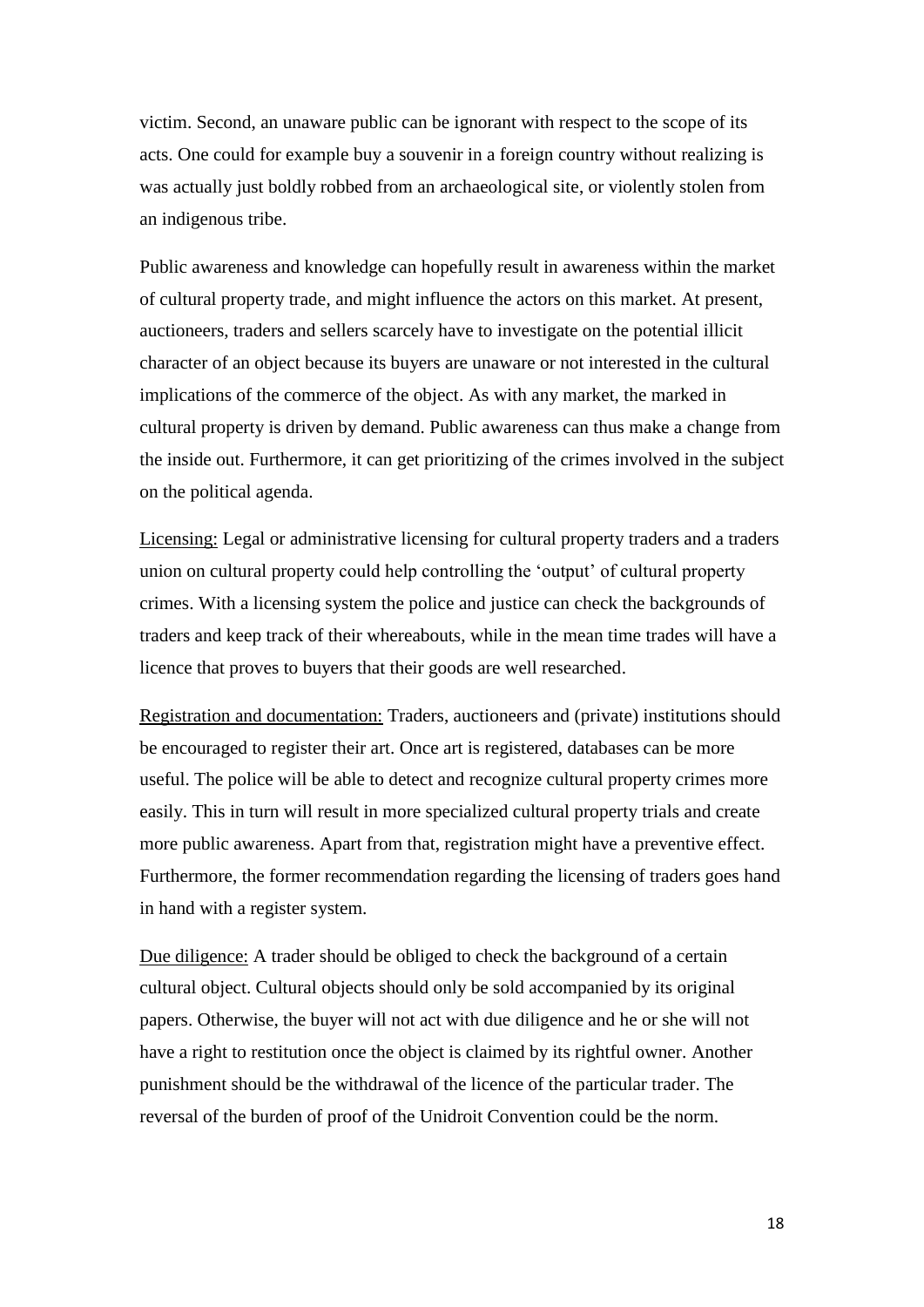victim. Second, an unaware public can be ignorant with respect to the scope of its acts. One could for example buy a souvenir in a foreign country without realizing is was actually just boldly robbed from an archaeological site, or violently stolen from an indigenous tribe.

Public awareness and knowledge can hopefully result in awareness within the market of cultural property trade, and might influence the actors on this market. At present, auctioneers, traders and sellers scarcely have to investigate on the potential illicit character of an object because its buyers are unaware or not interested in the cultural implications of the commerce of the object. As with any market, the marked in cultural property is driven by demand. Public awareness can thus make a change from the inside out. Furthermore, it can get prioritizing of the crimes involved in the subject on the political agenda.

Licensing: Legal or administrative licensing for cultural property traders and a traders union on cultural property could help controlling the "output" of cultural property crimes. With a licensing system the police and justice can check the backgrounds of traders and keep track of their whereabouts, while in the mean time trades will have a licence that proves to buyers that their goods are well researched.

Registration and documentation: Traders, auctioneers and (private) institutions should be encouraged to register their art. Once art is registered, databases can be more useful. The police will be able to detect and recognize cultural property crimes more easily. This in turn will result in more specialized cultural property trials and create more public awareness. Apart from that, registration might have a preventive effect. Furthermore, the former recommendation regarding the licensing of traders goes hand in hand with a register system.

Due diligence: A trader should be obliged to check the background of a certain cultural object. Cultural objects should only be sold accompanied by its original papers. Otherwise, the buyer will not act with due diligence and he or she will not have a right to restitution once the object is claimed by its rightful owner. Another punishment should be the withdrawal of the licence of the particular trader. The reversal of the burden of proof of the Unidroit Convention could be the norm.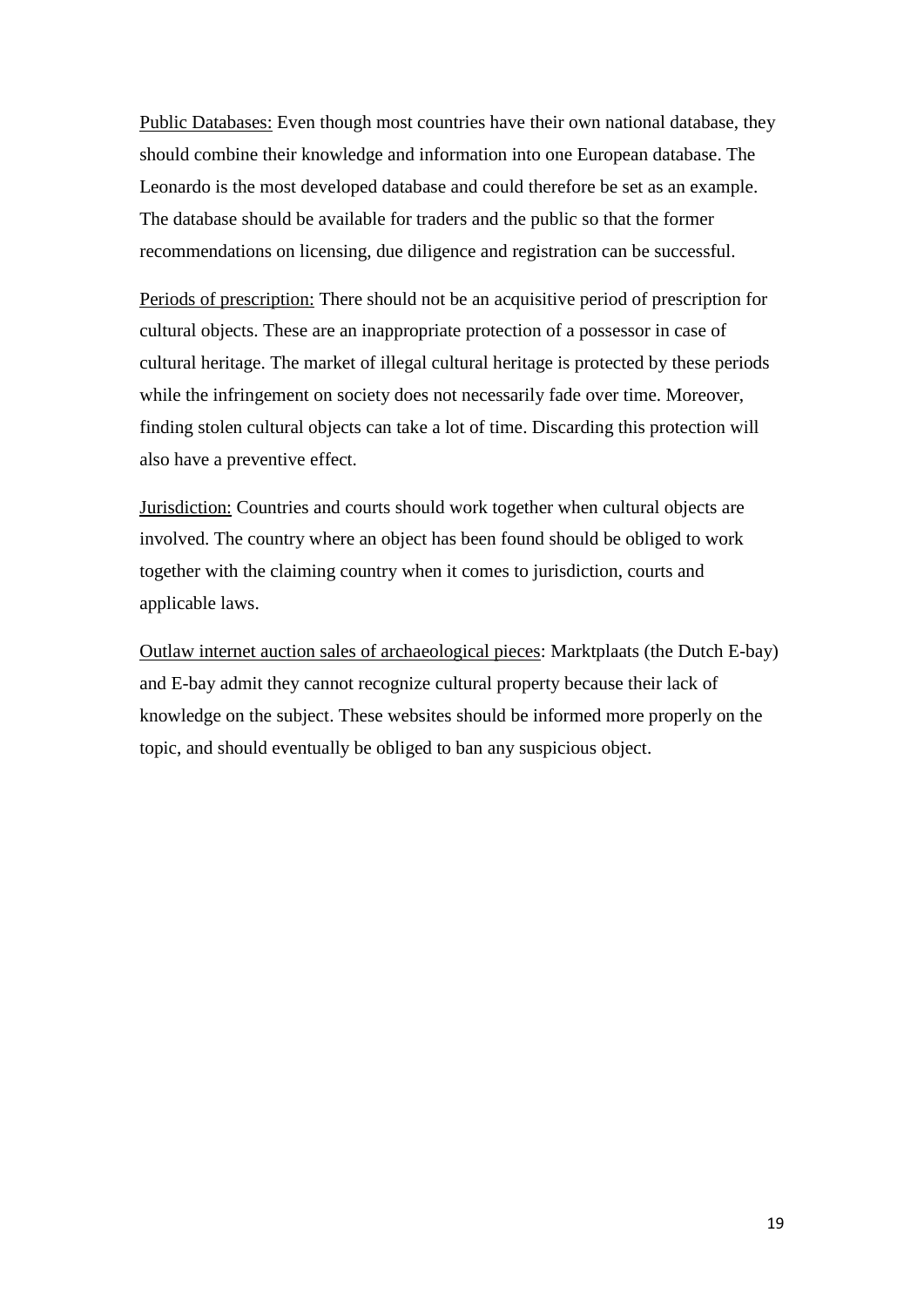Public Databases: Even though most countries have their own national database, they should combine their knowledge and information into one European database. The Leonardo is the most developed database and could therefore be set as an example. The database should be available for traders and the public so that the former recommendations on licensing, due diligence and registration can be successful.

Periods of prescription: There should not be an acquisitive period of prescription for cultural objects. These are an inappropriate protection of a possessor in case of cultural heritage. The market of illegal cultural heritage is protected by these periods while the infringement on society does not necessarily fade over time. Moreover, finding stolen cultural objects can take a lot of time. Discarding this protection will also have a preventive effect.

Jurisdiction: Countries and courts should work together when cultural objects are involved. The country where an object has been found should be obliged to work together with the claiming country when it comes to jurisdiction, courts and applicable laws.

Outlaw internet auction sales of archaeological pieces: Marktplaats (the Dutch E-bay) and E-bay admit they cannot recognize cultural property because their lack of knowledge on the subject. These websites should be informed more properly on the topic, and should eventually be obliged to ban any suspicious object.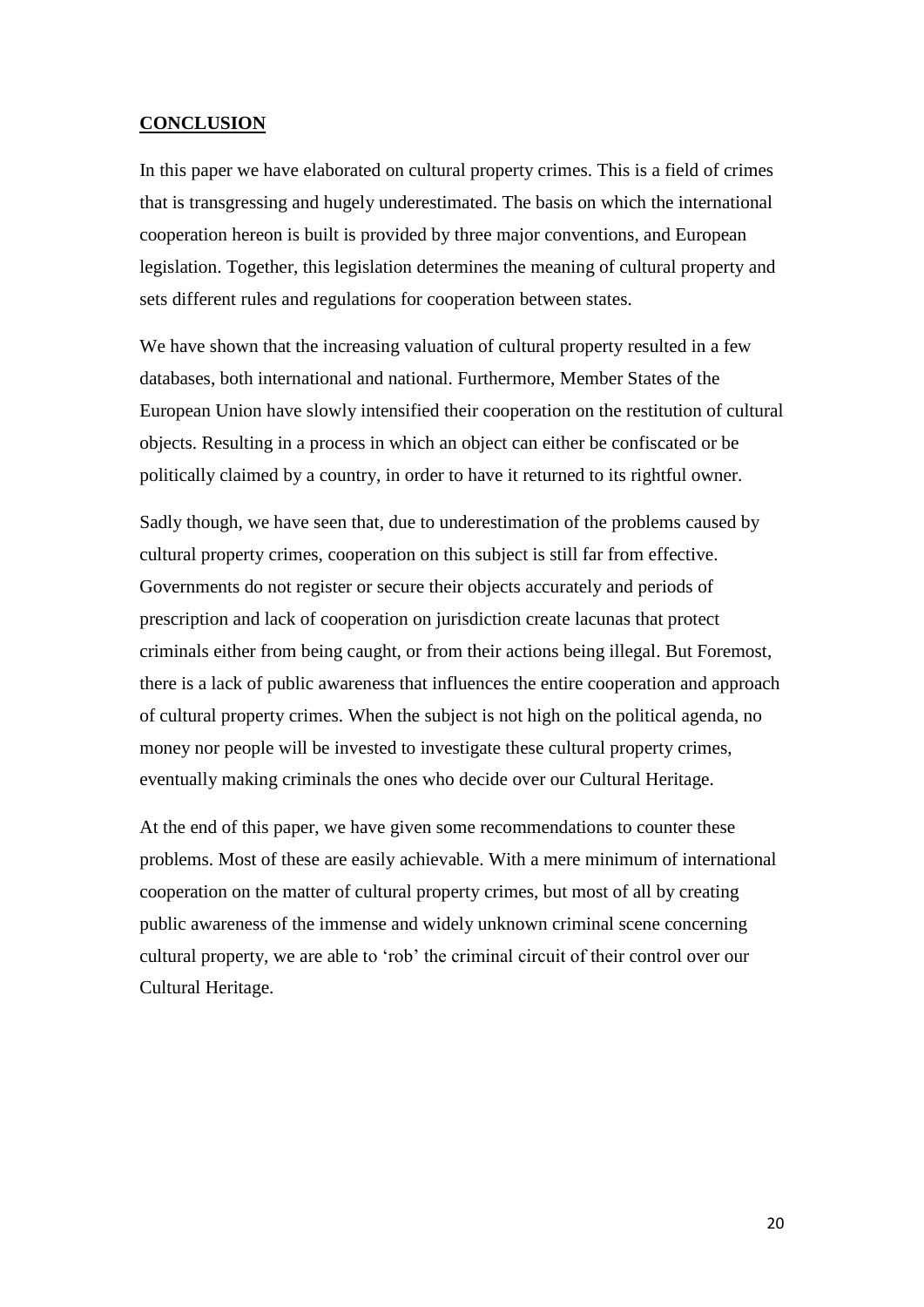# **CONCLUSION**

In this paper we have elaborated on cultural property crimes. This is a field of crimes that is transgressing and hugely underestimated. The basis on which the international cooperation hereon is built is provided by three major conventions, and European legislation. Together, this legislation determines the meaning of cultural property and sets different rules and regulations for cooperation between states.

We have shown that the increasing valuation of cultural property resulted in a few databases, both international and national. Furthermore, Member States of the European Union have slowly intensified their cooperation on the restitution of cultural objects. Resulting in a process in which an object can either be confiscated or be politically claimed by a country, in order to have it returned to its rightful owner.

Sadly though, we have seen that, due to underestimation of the problems caused by cultural property crimes, cooperation on this subject is still far from effective. Governments do not register or secure their objects accurately and periods of prescription and lack of cooperation on jurisdiction create lacunas that protect criminals either from being caught, or from their actions being illegal. But Foremost, there is a lack of public awareness that influences the entire cooperation and approach of cultural property crimes. When the subject is not high on the political agenda, no money nor people will be invested to investigate these cultural property crimes, eventually making criminals the ones who decide over our Cultural Heritage.

At the end of this paper, we have given some recommendations to counter these problems. Most of these are easily achievable. With a mere minimum of international cooperation on the matter of cultural property crimes, but most of all by creating public awareness of the immense and widely unknown criminal scene concerning cultural property, we are able to "rob" the criminal circuit of their control over our Cultural Heritage.